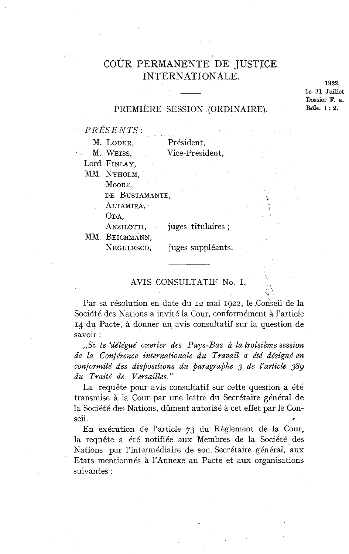# COUR PERMANENTE DE JUSTICE INTERNATIONALE.

**1922, le 31 Juillet**  Dossier F. a.<br>Rôle. 1: 2.

### PREMIÈRE SESSION (ORDINAIRE).

*PRÉSENTS:* 

| M. LODER,<br>Président, |  |
|-------------------------|--|
|-------------------------|--|

M. WEISS, Vice-président,

Lord FINLAY,

MM. NYHOLM,

MOORE,

DE BUSTAMANTE,

ALTAMIRA,

ODA,<br>Anzilotti, juges titulaires ;

MM. BEICHMANN,

NEGULESCO, juges suppléants.

# AVIS CONSULTATIF No. 1.

Par sa résolution en date du 12 mai 1922, le Conseil de la Société des Nations a invité la Cour, conformément à l'article **14** du Pacte, à donner un avis consultatif sur la question de savoir :

*,,Si le +délégué ouvrier des Pays-Bas* à *la troisième session*  de la Conférence internationale du Travail a été désigné en *conformité des dispositions du paragraphe 3 de l'article 389 du Traité de Versailles."* 

La requête pour avis consultatif sur cette question a été transmise à la Cour par une lettre du Secrétaire général de la Société des Nations, dûment autorisé à cet effet par le Conseil.

En exécution de l'article 73 du Règlement de la Cour, la requête a été notifiée aux Membres de la Société des Nations par l'intermédiaire de son Secrétaire général, aux Etats mentionnés à l'Annexe au Pacte et aux organisations suivantes :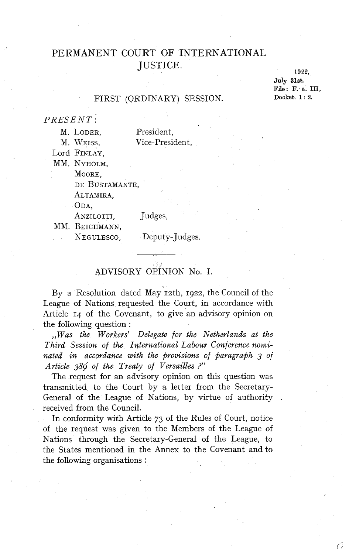# PERMANENT COURT OF INTERNATIONAL JUSTICE.

1922. **July 31sb.**  File : F. a. III,<br>Docket. 1 : 2.

#### FIRST (ORDINARY) SESSION.

*PRESENT:* 

| М. | LODER,   |
|----|----------|
| м  | $W$ rroc |

President. M. WEISS, Vice-President,

Lord FINLAY,

MM. NYHOLM,

MOORE,

DE BUSTAMANTE,

ALTAMIRA,

ODA,

#### ANZILOTTI, Judges,

MM. BEICHMANN,

NEGULESCO, Deputy-Judges.

# ADVISORY OPINION No. I.

By a Resolution dated May 12th, 1922, the Council of the League of Nations requested the Court, in accordance with Article 14 of the Covenant, to give an advisory opinion on the following question :

*,,Was the Workers' Delegate for the Netherlands at the Third Session of the International Labour Conference nominated in accordance with the provisions of paragraph 3 of Article 389 of the Treaty of Versailles* ?'

The request for an advisory opinion on this question was transmitted to the Court by a letter from the Secretary-General of the League of Nations, by virtue of authority received from the Council.

In conformity with Article 73 of the Rules of Court, notice of the request was given to the Members of the League of Nations through the Secretary-General of the League, to the States mentioned in the Annex to the Covenant and to the following organisations :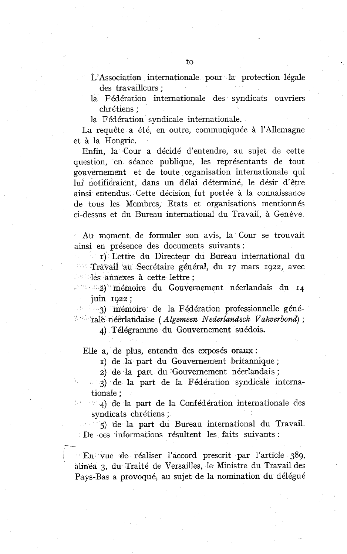- L'Association internationale pour la protection légale des travailleurs ;
- la Fédération internationale des syndicats ouvriers chrétiens ;

la Fédération syndicale internationale.

La requête a été, en outre, commupiquée à l'Allemagne et à la Hongrie.

Enfin, la Cour a décidé d'entendre, au sujet de cette question, en séance publique, les représentants de tout gouvernement et de toute organisation internationale qui lui notifieraient, dans un délai déterminé, le désir d'être ainsi entendus. Cette décision fut portée à la connaissance de tous les Membres, Etats et organisations mentionnés ci-dessus et du Bureau international du Travail, à Genève

Au moment de formuler son avis, la Cour se trouvait ainsi en présence des documents suivants :

I) Lettre du Directeur du Bureau international du Travail au Secrétaire général, du 17 mars 1922, avec les annexes à cette lettre ;

2) mémoire du Gouvernement néerlandais du 14 juin 1922 ;

13) mémoire de la Fédération professionnelle généralè néerlalidaise ( *Algemeen Nederlandsch Vakverbond)* ;

*4)* Télégramme du Gouvernement suédois.

Elle a, de plus, entendu des exposés oraux:

1) de la part du Gouvernement britannique ;

2) de la part du Gouvernement néerlandais ;

3) de la part de la Fédération syndicale internationale ;

4) de la part de la Confédération internationale des syndicats chrétiens ;

5) de la part du Bureau international du Travail. De ces informations résultent les faits suivants :

 $\mathbb{E} \mathbb{E} \mathbb{E}$  vue de réaliser l'accord prescrit par l'article 389, alinéa 3, du Traité de Versailles, le Ministre du Travail des Pays-Bas a provoqué, au sujet de la nomination du délégué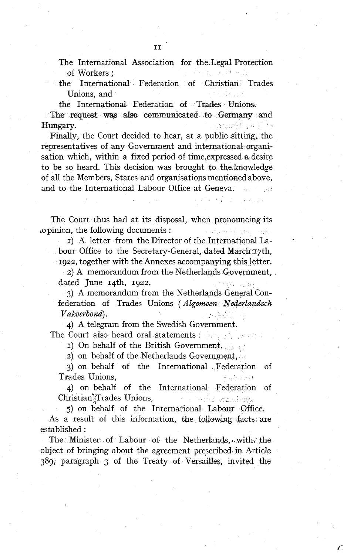the International Federation of Christian Trades Unions, and

the International Federation of Trades Unions.

The request was aIso communicated **to Cernay** and Hungary. Grandford for

Finally, the Court decided to hear, at a public sitting, the representatives of any Government and international organisation which, within a fixed period of time,expressed a desire to be so heard. This decision was brought to the,knowledge of al1 the Members, States and organisations mentioned above, and to the International Labour Office at Geneva.

The Court thus had at its disposal, when pronouncing its ,opinion, the following documents : and contact

1) A letter from the Director of the International Labour Office to the Secretary-General, dated March,17th, 1922, together with the Annexes accompanying this letter.

2) A memorandum from the Netherlands Government, dated June 14th, 1922.

**3)** A memorandum from the Netherlands General Confederation of Trades Unions (Algemeen Nederlandsch  $V$ akverbond $\rangle$ .

4) A telegram from the Swedish Government. The Court also heard oral statements : the statements of the statements of the statements of the Statements of the Statements of the Court of the Court of the Court of the Court of the Court of the Court of the Court of th

1) On behalf of the British Government,

2) on behalf of the Netherlands Government,

**3)** on behalf of the International Federation of Trades Unions,

4) on behalf of the International Federation of Christian<sup>3</sup> Trades Unions, man and attachings

5) on behalf of the International Labour Office. As a result of this information, the following facts are established :

The Minister of Labour of the Netherlands, with the object of bringing about the agreement preçcribed in Article 389, paragraph **3** of the Treaty of Versailles, invited the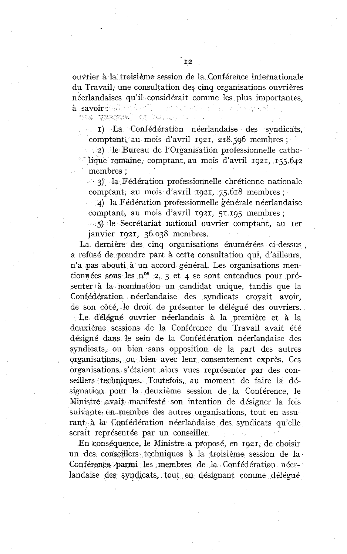ouvrier à la troisième session de la Conférence internationale du Travail, une consultation des cinq organisations ouvrières néerlandaises qu'il considérait comme les plus importantes, à savoir : a constant

ta man to kesta y

1) La Confédération néerlandaise des syndicats, comptant; au mois d'avril 1921, 218.596 membres ;

2) le Bureau de l'Organisation professionnelle catholique romaine, comptant, au mois d'avril 1921, 155.642 membres ;

 $\leq$  3) la Fédération professionnelle chrétienne nationale comptant, au mois d'avril 1921, 75.618 membres ;

4) la Fédération professionnelle générale néerlandaise comptant, au mois d'avril 1921, 51.195 membres ;

*5)* le Secrétariat national ouvrier comptant, au Ier janvier 1921, 36.038 membres.

La dernière des cinq organisations énumérées ci-dessus , a refusé de prendre part à cette consultation qui, d'ailleurs, n'a pas abouti à un accord général. Les organisations mentionnées sous les n<sup>os</sup> 2, 3 et 4 se sont entendues pour présenter à la nomination un candidat unique, tandis que la Confédération néerlandaise des syndicats croyait avoir, de son côté, le droit de présenter le délégué des ouvriers.

Le dé1,égné ouvrier néerlandais à la première et à la deuxième sessions de la Conférence du Travail avait été désigné dans le sein de la Confédération néerlandaise des syndicats, ou bien sans opposition de la part des autres organisations, ou bien avec leur consentement exprès. Ces organisations s'étaient alors vues représenter par des conseillers techniques. Toutefois, au moment de faire la désignation pour la deuxième session de la Conférence, le Ministre avait manifesté son intention de désigner la fois suivante un membre des autres organisations, tout en assurant à la Confédération néerlandaise des syndicats qu'elle serait représentée par un conseiller.

En conséquence, le Ministre a proposé, en 1921, de choisir un des conseillers techniques à la troisième session de la Conférence parmi les membres de la Confédération néerlandaise des syndicats, tout en désignant comme délégué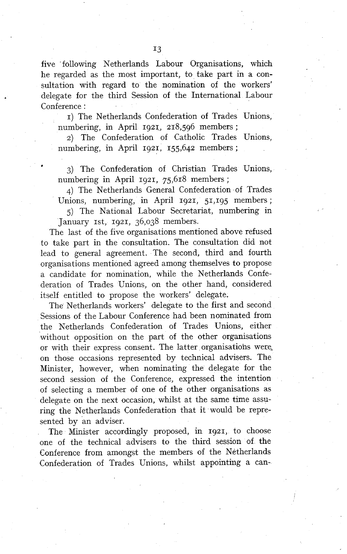five following Netherlands Labour Organisations, which he regarded as the most important, to take part in a consultation with regard to the nomination of the workers' delegate for the third Session of the International Labour Conference :

1) The Netherlands Confederation of Trades Unions, numbering, in April 1921, 218,596 members ;

2) The Confederation of Catholic Trades Unions, numbering, in April 1921, 155,642 members ;

3) The Confederation of Christian Trades Unions, numbering in April 1921, 75,618 members;

4) The Netherlands General Confederation of Trades Unions, numbering, in April 1921, 51,195 members ;

5) The National Labour Secretariat, numbering in January 1st, 1921, 36,038 members.

The last of the five organisations mentioned above refused to take part in the consultation. The consultation did not lead to general agreement. The second, third and fourth organisations mentioned agreed among themselves to propose a candidate for nomination, while the Netherlands Confederation of Trades Unions, on the other hand, considered itself entitled to propose the workers' delegate.

The Netherlands workers' delegate to the first and second Sessions of the Labour Conference had been nominated from the Netherlands Confederation of Trades Unions, either without opposition on the part of the other organisations or with their express consent. The latter organisations were, on those occasions represented by technical advisers. The Minister, however, when nominating the delegate for the second session of the Conference, expressed the intention of selecting a member of one of the other organisations as delegate on the next occasion, whilst at the same time assuring the Netherlands Confederation that it would be represented by an adviser.

The Minister accordingly proposed, in 1921, to choose one of the technical advisers to the third session of the Conference from amongst the members of the Netherlands Confederation of Trades Unions, whilst appointing a can-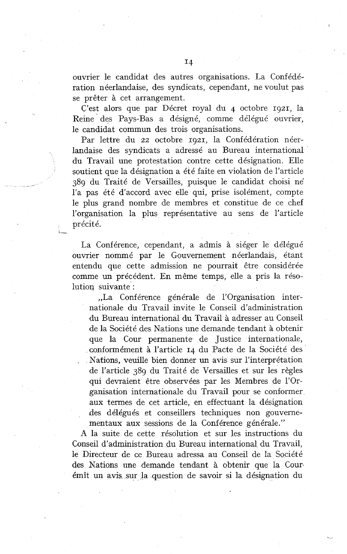ouvrier le candidat des autres organisations. La Confédération néerlandaise, des syndicats, cependant, ne voulut pas se prêter à cet arrangement.

C'est alors que par Décret royal du 4 octobre 1921, la Reine' des Pays-Bas a désigné, comme délégué ouvrier, le candidat commun des trois organisations.

Par lettre du 22 octobre 1921, la Confédération néerlandaise des syndicats a adressé au Bureau international du Travail une protestation contre cette désignation. Elle soutient que la désignation a été faite en violation de l'article 389 du Traité de Versailles, puisque le candidat choisi ne' l'a pas été d'accord avec elle qui, prise isolément, compte le plus grand nombre de membres et constitue de ce chef l'organisation la plus représentative au sens de l'article précité.

La Conférence, cependant, a admis à siéger le délégué ouvrier nommé par le Gouvernement néerlandais, étant entendu que cette admission ne pourrait être considérée comme un précédent. En même temps, elle a pris la résolution suivante :

**i-**

,,La Conférence générale de l'organisation internationale du Travail invite le Conseil d'administration du Bureau international du Travail à adresser au Conseil de la Société des Nations une demande tendant à obtenir que la Cour permanente de Justice internationale, conformément à l'article 14 du Pacte de la Société des . Nations, veuille bien donner un avis sur l'interprétation de l'article 389 du Traité de Versailles et sur les règles qui devraient être observées par les Membres de l'Organisation internationale du Travail pour se conformer aux termes de cet article, en effectuant la désignation des délégués et conseillers techniques non gouvernementaux aux sessions de la Conférence générale."

A la suite de cette résolution et sur les instructions du Conseil d'administration du Bureau international du Travail, le Directeur de ce Bureau adressa au Conseil de la Société des Nations une demande tendant à obtenir que la Courémît un avis. sur la question de savoir si la désignation du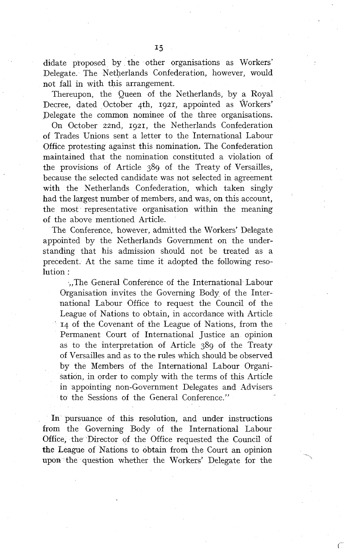didate proposed by the other organisations as Workers' Delegate. The Netherlands Confederation, however, would not fa11 in with this arrangement.

Thereupon, the Queen of the Netherlands, by a Royal Decree, dated October 4th, 1921, appointed as Workers' Delegate the common nominee of the three organisations.

On October zznd, 1921, the Netherlands Confederation of Trades Unions sent a letter to the International Labour Office protesting against this nomination. The Confederation maintained that the nomination constituted a violation of the provisions of Article 389 of the Treaty of Versailles, because the selected candidate was not selected in agreement with the Netherlands Confederation, which taken singly had the largest number of members, and was, on this account, the most representative organisation within the meaning of the above mentioned Article.

The Conference, however, admitted the Workers' Delegate appointed by the Netherlands Government on the understanding that his admission should not be treated as a precedent. At the same time it adopted the following resolution :

..The General Conference of the International Labour Organisation invites the Governing Body of the International Labour Office to request the Council of the League of Nations to obtain, in accordance with Article **14** of the Covenant of the League of Nations, from the Permanent Court of International Justice an opinion as to the interpretation of Article 389 of the Treaty of Versailles and as to the rules which should be observed by the Members of the International Labour Organisation, in order to comply with the terms of this Article in appointing non-Government Delegates and Advisers to the Sessions of the General Conference."

In pursuance of this resolution, and under instructions from the Governing Body of the International Labour Office, the Director of the Office requested the Council of the League of Nations to obtain frorn the Court an opinion upon the question whether the Workers' Delegate for the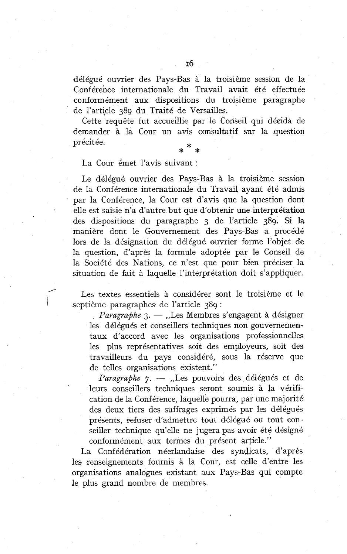délégué ouvrier des Pays-Bas à la troisième session de la Conférence internationale du Travail avait été effectuée conformément aux dispositions du troisième paragraphe de l'article 389 du Traité de Versailles.

Cette requête fut accueillie par le Conseil qui décida de demander à la Cour un avis consultatif sur la question précitée. \* \* \*

La Cour émet l'avis suivant :

Le délégué ouvrier des Pays-Bas à la troisième session de la Conférence internationale du Travail ayant été admis par la Conférence, la Cour est d'avis que la question dont elle est saisie n'a d'autre but que d'obtenir une interprétation des dispositions du paragraphe 3 de l'article 389. Si la manière dont le Gouvernement des Pays-Bas a procédé lors de la désignation du délégué ouvrier forme l'objet de la question, d'après la formule adoptée par le Conseil de la Société des Nations, ce n'est que pour bien préciser la situation de fait à laquelle l'interprétation doit s'appliquer. I Les textes essentiels à considérer sont le troisième et le septième paragraphes de l'article 389 :<br>Les textes essentiels à considérer sont le troisième et le septième paragraphes de l'article 389 :

Les textes essentiels à considérer sont le troisième et le septième paragraphes de l'article 389 :<br> *Paragraphe* 3. - ,,Les Membres s'engagent à désigner

les délégués et conseillers techniques non gouvernementaux d'accord avec les organisations professionnelles les plus représentatives soit des employeurs, soit des travailleurs du pays considéré, sous la réserve que de telles organisations existent. "

*Paragraphe 7.* - "Les pouvoirs des délégués et de leurs conseillers techniques seront soumis à la vérification de la Conférence, laquelle pourra, par une majorité des deux tiers des suffrages exprimés par les délégués présents, refuser d'admettre tout délégué ou tout conseiller technique qu'elle ne jugera pas avoir été désigné conformément aux termes du présent article."

La Confédération néerlandaise des syndicats, d'après les renseignements fournis à la Cour, est celle d'entre les organisations analogues existant aux Pays-Bas qui compte le plus grand nombre de membres.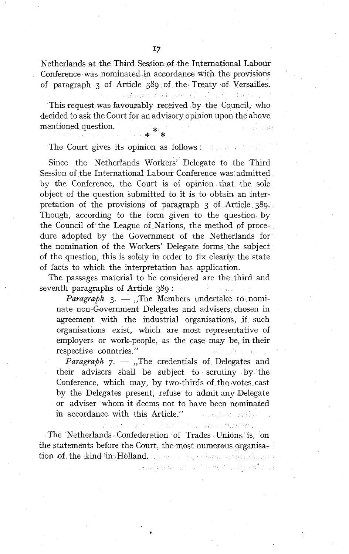Netherlands at the Third Session of the International Labour Conference was nominated in accordance with the provisions of paragraph 3 of Article 389 of the Treaty of Versailles.

This request was favourably received by the Council, who decided to ask the Court for an advisory opinion upon the above mentioned question. **4** \*

The Court gives its opinion as follows :

e gouer

Since the Netherlands Workers' Delegate to the Third Session of the International Labour Conference was admitted by the Conference, the Court is of opinion that the soie object of the question submitted to it is to obtain an interpretation of the provisions of paragraph 3 of Article 389. Though, according to the form given to the question by the Council of the League of Nations, the method of procedure adopted by the Government of the Netherlands for the nomination of the Workers' Delegate forms the subject of the question, this is solely in order to fix clearly the state of facts to which the interpretation has application.

The passages material to be considered are the third and seventh paragraphs of Article 389 :

*Paragraph*  $3. -$ , The Members undertake to nominate non-Government Delegates and advisers chosen in agreement with the industrial organisations, if such organisations exist, which are most representative of employers or work-people, as the case may be, in their respective countries."

*Paragraph*  $7.$  *- .*,The credentials of Delegates and their advisers shall be subject to scrutiny by the Conference, which may, by two-thirds of the votes cast by the Delegates present, refuse to admit any Delegate or adviser whom it deems not to have been nominated in accordance with this Article." Service and Sail Cal

Steam annotan

service manager of the exciting ender all

The Netherlands Confederation of Trades Unidns is, on the statements before the Court, the most numerous organisation of the kind in Holland. The contract for a statistic in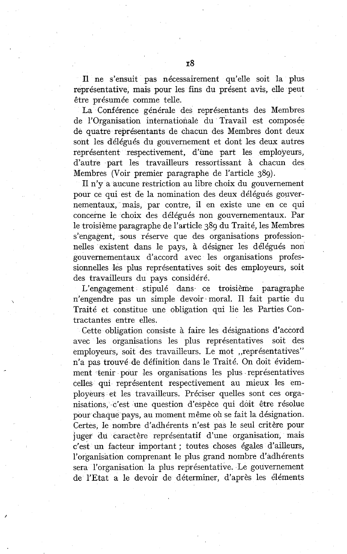Il ne s'ensuit pas nécessairement qu'elle soit la plus représentative, mais pour les fins du présent avis, elle peut être présumée comme telle.

La Conférence générale des représentants des Membres de l'Organisation internationale du Travail est composée de quatre représentants de chacun des Membres dont deux sont les délégués du gouvernement et dont les deux autres représentent respectivement, d'une part les employeurs, d'autre part les travailleurs ressortissant à chacun des Membres (Voir premier paragraphe de l'article 389).

11 n'y a aucune restriction au libre choix du gouvernement pour ce qui est de la nomination des deux délégués gouvernementaux, mais, par contre, il en existe une en ce qui concerne le choix des délégués non gouvernementaux. Par le troisième paragraphe de l'article 389 du Traité, les Membres s'engagent, sous réserve que des organisations professionnelles existent dans le pays, à désigner les délégués non gouvernementaux d'accord avec les organisations professionnelles les plus représentatives soit des employeurs, soit des travailleurs du pays considéré.

L'engagement stipulé dans ce troisième paragraphe n'engendre pas un simple devoir moral. Il fait partie du Traité et constitue une obligation qui lie les Parties Contractantes entre elles.

Cette obligation consiste à faire les désignations d'accord avec les organisations les plus représentatives soit des employeurs, soit des travailleurs. Le mot "représentatives" n'a pas trouvé de définition dans le Traité. On doit évidemment tenir pour les organisations les plus représentatives celles qui représentent respectivement au mieux les employeurs et les travailleurs. Préciser quelles sont ces organisations, c'est une question d'espèce qui doit être résolue pour chaque pays, au moment même où se fait la désignation. Certes, le nombre d'adhérents n'est pas le seul critère pour juger du caractère représentatif d'une organisation, mais c'est un facteur important ; toutes choses égales d'ailleurs, l'organisation comprenant le plus grand nombre d'adhérents sera l'organisation la plus représentative. Le gouvernement de l'Etat a le devoir de déterminer, d'après les éléments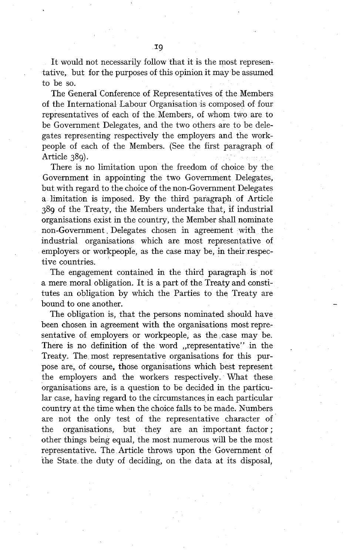It would not necessarily follow that it is the most representative, but for the purposes of this opinion it may be assumed to be so.

The General Conference of Representatives of the Members of the International Labour Organisation is composed of four representatives of each of the Members, of whom two are to be Government Delegates, and the two others are to be delegates representing respectively the employers and the workpeople of each of the Members. (See the first paragraph of Article 389).

There is no limitation upon the freedom of choice by the Government in appointing the two Govemment Delegates, but with regard to the choice of the non-Government Delegates a limitation is imposed. By the third paragraph of Article 389 of the Treaty, the Members undertake that, if industrial organisations exist in the country, the Member shall nominate non-Govemment. Delegates chosen in agreement with the industrial organisations which are most representative of employers or workpeople, as the case may be, in their respective countries.

The engagement contained in the third paragraph is not a mere moral obligation. It is a part of the Treaty and constitutes an obligation by which the Parties to the Treaty are bound to one another.

The obligation is, that the persons nominated should have been chosen in agreement with the organisations most representative of employers or workpeople, as the case may be. There is no definition of the word ,,representative'' in the Treaty. The most representative organisations for this purpose are, of course, those organisations which best represent the employers and the workers respectively. What these organisations are, is a question to be decided in the particular case, having regard to the circumstances in each particular country at the time when the choice falls to be made. Numbers are not the only test of the representative character of the organisations, but they are an important factor ; other things being equal, the most numerous will be the most representative. The Article throws upon the Government of the State the duty of deciding, on the data at its disposal,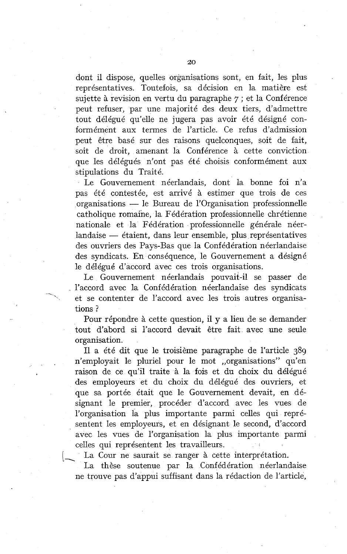dont il dispose, quelles organisations sont, en fait, les plus représentatives. Toutefois, sa décision en la matière est sujette à revision en vertu du paragraphe 7 ; et la Conférence peut refuser, par une majorité des deux tiers, d'admettre tout délégué qu'elle ne jugera pas avoir été désigné conformément aux termes de l'article. Ce refus d'admission peut être basé sur des raisons quelconques, soit de fait, soit de droit, amenant la Conférence à cette conviction que les délégués n'ont pas été choisis conformément aux stipulations du Traité.

Le Gouvernement néerlandais, dont la bonne foi n'a pas été contestée, est arrivé à estimer que trois de ces organisations - le Bureau de l'organisation professionnelle catholique romaine, la Fédération professionnelle chrétienne nationale et la Fédération professionnelle générale néerlandaise — étaient, dans leur ensemble, plus représentatives des ouvriers des Pays-Bas que la Confédération néerlandaise des syndicats. En conséquence, le Gouvernement a désigné le délégué d'accord avec ces trois organisations.

Le Gouvernement néerlandais pouvait-il se passer de l'accord avec la Confédération néerlandaise des syndicats et se contenter de l'accord avec les trois autres organisations ?

Pour répondre à cette question, il y a lieu de se demander tout d'abord si l'accord devait être fait avec une seule organisation.

Il a été dit que le troisième paragraphe de l'article 389 n'employait le pluriel pour le mot ,,organisations" qu'en raison de ce qu'il traite à la fois et du choix du délégué des employeurs et du choix du délégué des ouvriers, et que sa portée était que le Gouvernement devait, en désignant le premier, procéder d'accord avec les vues de l'organisation la plus importante parmi celles qui représentent les employeurs, et en désignant le second, d'accord avec les vues de l'organisation la plus importante parmi celles qui représentent les travailleurs.

La Cour ne saurait se ranger à cette interprétation.

La thèse soutenue par la Confédération néerlandaise ne trouve pas d'appui suffisant dans la rédaction de l'article,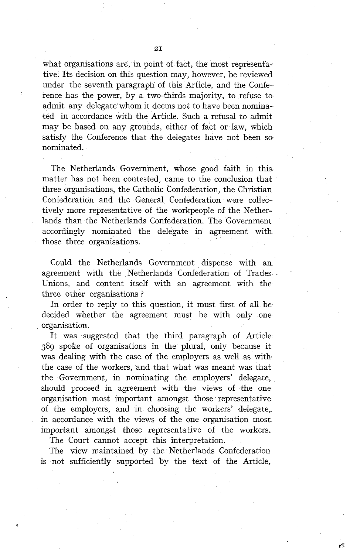what organisations are, in point of fact, the most representative. Its decision on this question may, however, be reviewed under the seventh paragraph of this Article, and the Conference has the power, by a two-thirds majority, to refuse to admit any delegate'whom it deems not to have been nominated in accordance with the Article. Such a refusal to admit may be based on any grounds, either of fact or law, which satisfy the Conference that the delegates have not been so. nominated.

The Netherlands Government, whose good faith in this. matter has not been contested, came to the conclusion that three organisations, the Catholic Confederation, the Christian Confederation and the General Confederation were collectively more representative of the workpeople of the Netherlands than the Netherlands Confederation. The Government accordingly nominated the delegate in agreement with those three organisations.

Could the Netherlands Government dispense with an agreement with the Netherlands Confederation of Trades Unions, and content itself with an agreement with the three other organisations ?

In order to reply to this question, it must first of all be decided whether the agreement must be with only one organisation.

It was suggested that the third paragraph of Article 389 spoke of organisations in the plural, only because it was dealing with the case of the employers as well as with the case of the workers, and that what was meant was that the Government, in nominating the employers' delegate, should proceed in agreement with the views of the one organisation most important amongst those representative of the employers, and in choosing the workers' delegate, in accordance with the views of the one organisation most important amongst those representative of the workers.

The Court cannot accept this interpretation.

The view maintained by the Netherlands Confederation is not sufficiently supported by the text of the Article,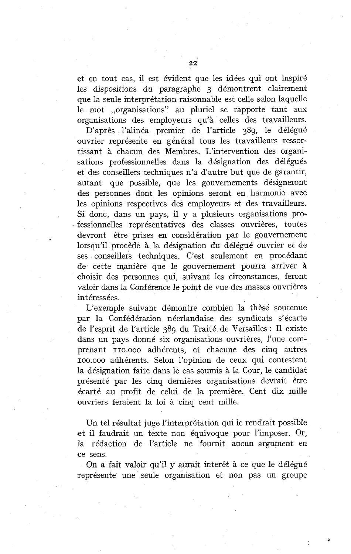et en tout cas, il est évident que les idées qui ont inspiré les dispositions du paragraphe 3 démontrent clairement que la seule interprétation raisonnable est celle selon laquelle le mot ,,organisations" au pluriel se rapporte tant aux organisations des employeurs qu'à celles des travailleurs.

D'après l'alinéa premier de l'article 389, le délégué ouvrier représente en général tous les travailleurs ressortissant à chacun des Membres. L'intervention des organisations professionnelles dans la désignation des délégués et des conseillers techniques n'a d'autre but que de garantir, autant que possible, que les gouvernements désigneront des personnes dont les opinions seront en harmonie avec les opinions respectives des employeurs et des travailleurs. Si donc, dans un pays, il y a plusieurs organisations professionnelles représentatives des classes ouvrières, toutes devront être prises en considération par le gouvernement lorsqu'il procède à la désignation du délégué ouvrier et de ses conseillers techniques. C'est seulement en procédant de cette manière que le gouvernement pourra arriver à choisir des personnes qui, suivant les circonstances, feront valoir dans la Conférence le point de vue des masses ouvrières intéressées.

L'exemple suivant démontre combien la thèse soutenue par la Confédération néerlandaise des syndicats s'écarte de l'esprit de l'article 389 du Traité de Versailles : Il existe dans un pays donné six organisations ouvrières, l'une comprenant IIO.OOO adhérents, et chacune des cinq autres ~oo.ooo adhérents. Selon l'opinion de ceux qui contestent la désignation faite dans le cas soumis à la Cour, le candidat présenté par les cinq dernières organisations devrait être écarté au profit de celui de la première. Cent dix mille ouvriers feraient la loi à cinq cent mille.

Un tel résultat juge l'interprétation qui le rendrait possible et il faudrait un texte non équivoque pour l'imposer. Or, la rédaction de l'article ne fournit aucun argument en ce sens.

On a fait valoir qu'il y aurait interêt à ce que le délégué représente une seule organisation et non pas un groupe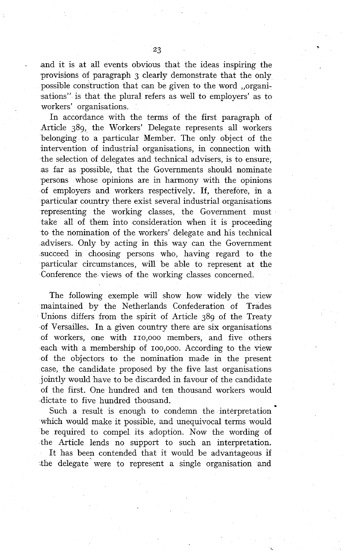23

and it is at all events obvious that the ideas inspiring the provisions of paragraph 3 clearly demonstrate that the only possible construction that can be given to the word ,,organisations" is that the plural refers as well to employers' as to workers' organisations.

In accordance with the terms of the first paragraph of Article 389, the Workers' Delegate represents al1 workers belonging to a particular Member. The only object of the intervention of industrial organisations, in connection with the selection of delegates and technical advisers, is to ensure, as far as possible, that the Governments should nominate persons whose opinions are in harmony with the opinions of employers and workers respectively. If, therefore, in a particular country there exist several industrial organisations representing the working classes, the Govemment must take al1 of them into consideration when it is proceeding to the nomination of the workers' delegate and his technical advisers. Only by acting in this way can the Govemment succeed in choosing persons who, having regard to the particular circumstances, will be able to represent at the Conference the views of the working classes concemed.

The following exemple will show how widely the view maintained by the Netherlands Confederation of Trades Unions differs from the spirit of Article 389 of the Treaty of Versailles. In a given country there are six organisations of workers, one with IIO,OOO members, and five others each with a membership of 100,000. According to the view of the objectors to the nomination made in the present case, the candidate proposed by the five last organisations jointly would have to be discarded in favour of the candidate of the first. One hundred and ten thousand workers would dictate to five hundred thousand.

Such a result is enough to condemn the interpretation which would make it possible, and unequivocal terms would be required to compel its adoption. Now the wording of the Article lends no support to such an interpretation. It has been contended that it would be advantageous if .the delegate were to represent a single organisation and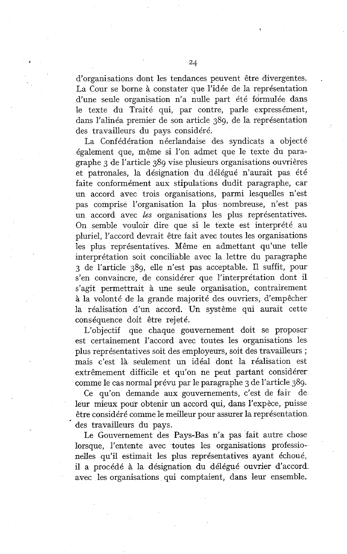d'organisations dont les tendances peuvent être divergentes. La Cour se borne à constater que l'idée de la représentation d'une seule organisation n'a nulle part été formulée dans le texte du Traité qui, par contre, parle expressément, dans l'alinéa premier de son article 389, de la représentation des travailleurs du pays considéré.

La Confédération néerlandaise des syndicats a objecté également que, même si l'on admet que le texte du paragraphe 3 de l'article 389 vise plusieurs organisations ouvrières et patronales, la désignation du délégué n'aurait pas été faite conformément aux stipulations dudit paragraphe, car un accord avec trois organisations, parmi lesquelles n'est pas comprise l'organisation la plus nombreuse, n'est pas un accord avec les organisations les plus représentatives. On semble vouloir dire que si le texte est interprété au pluriel, l'accord devrait être fait avec toutes les organisations les plus représentatives. Même en admettant qu'une telle interprétation soit conciliable avec la lettre du paragraphe 3 de l'article 389, elle n'est pas acceptable. Il suffit, pour s'en convaincre, de considérer que l'interprétation dont il s'agit permettrait à une seule organisation, contrairement à la volonté de la grande majorité des ouvriers, d'empêcher la réalisation d'un accord. Un système qui aurait cette conséquence doit être rejeté.

L'objectif que chaque gouvernement doit se proposer est certainement l'accord avec toutes les organisations les plus représentatives soit des employeurs, soit des travailleurs ; mais c'est là seulement un idéal dont la réalisation est extrêmement difficile et qu'on ne peut partant considérer comme le cas normal prévu par le paragraphe **3** de l'article 389.

Ce qu'on demande aux gouvernements, c'est de fair de leur mieux pour obtenir un accord qui, dans l'expèce, puisse être considéré comme le meilleur pour assurer la représentation des travailleurs du pays.

Le Gouvernement des Pays-Bas n'a pas fait autre chose lorsque, l'entente avec toutes les organisations professionelles qu'il estimait les plus représentatives ayant échoué, il a procédé à la désignation du délégué ouvrier d'accord avec les organisations qui comptaient, dans leur ensemble.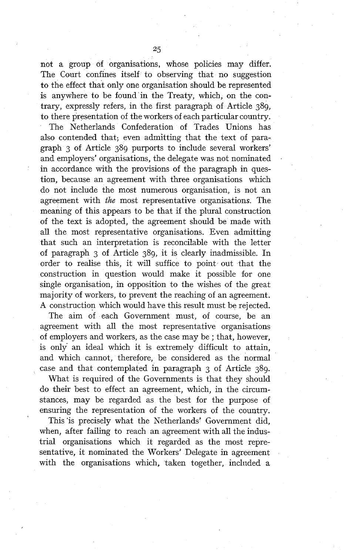not a group of organisations, whose policies may differ. The Court confines itself to observing that no suggestion to the effect that only one organisation should be represented is anywhere to be found in the Treaty, which, on the contrary, expressly refers, in the first paragraph of Article 389, to there presentation of the workers of each particular country.

The Netherlands Confederation of Trades Unions has also contended that; even admitting that the text of paragraph 3 of Article 389 purports to include several workers' and employers' organisations, the delegate was not nominated in accordance with the provisions of the paragraph in question, because an agreement with three organisations which do not include the most numerous organisation, is not an agreement with *the* most representative organisations. The meaning of this appears to be that if the plural construction of the text is adopted, the agreement should be made with all the most representative organisations. Even admitting that such an interpretation is reconcilable with the letter of paragraph  $3$  of Article  $389$ , it is clearly inadmissible. In order to redise this, it will suffice to point out that the construction in question would make it possible for one single organisation, in opposition to the wishes of the great majority of workers, to prevent the reaching of an agreement. A construction which would have this result must be rejected.

The aim of each Government must, of course, be an agreement with al1 the most representative organisations of employers and workers, as the case may be ; that, however, is only an ideal which it is extremely difficult to attain, and which cannot, therefore, be considered as the normal case and that contemplated in paragraph 3 of Article 389.

What is required of the Governments is that they should do their best to effect an agreement, which, in the circumstances, may be regarded as the best for the purpose of ensuring the representation of the workers of the country.

This 'is precisely what the Netherlands' Government did, when, after failing to reach an agreement with al1 the industrial organisations which it regarded as the most representative, it nominated the Workers' Delegate in agreement with the organisations which, taken together, included a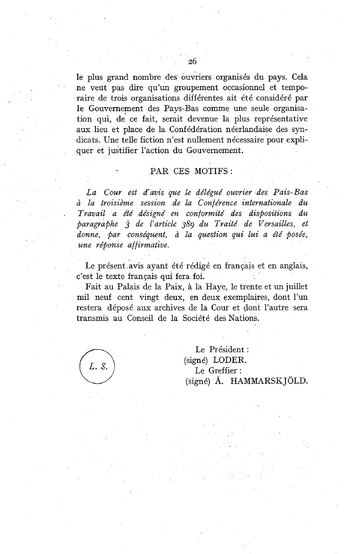le plus grand nombre des' ouvriers organisés du pays. Cela ne veut pas dire qu'un groupement occasionnel et temporaire de trois organisations différentes ait été considéré par le Gouvernement des Pays-Bas comme une seule organisation qui, de ce fait, serait devenue la plus représentative aux lieu et place de la Confédération néerlandaise des syndicats. Une telle fiction n'est nullement nécessaire pour expliquer et justifier l'action du Gouvernement.

# PAR CES MOTIFS :

*La Cour est d'auis que le délégué ouvrier des Pais-Bas*  à *la troisième session de la Conférence internationale du*  . *Travail a été désigné en conformité des dispositions du paragraphe 3 de l'article 389 du Traité de Versailles, et donne, par conséquent,* <sup>à</sup>*la question qui hi a été posée, une répofise affirmative.* 

Le présent .avis ayant été rédigé en français et en anglais, c'est le texte français qui fera foi.

Fait au Palais de la Paix, à la Haye, le trente et un juillet mil neuf cent vingt deux, en deux exemplaires, dont l'un restera déposé aux archives de la Cour et dont l'autre sera transmis au Conseil de la Société des Nations.

L. S.

Le Président : (signé) LODER. Le Greffier : (signé) A. HAMMARSK JOLD.